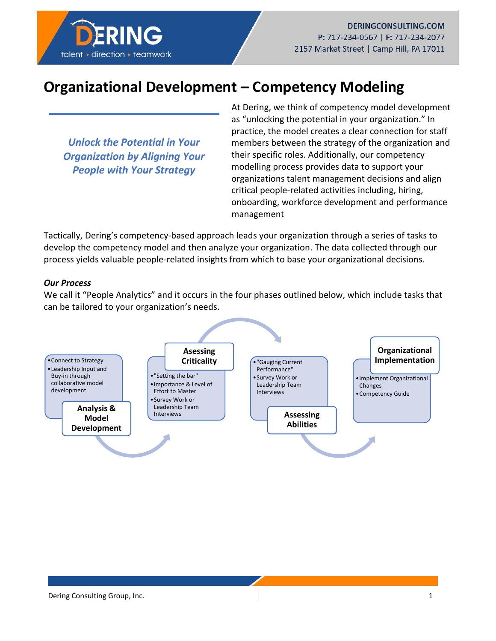

## **Organizational Development – Competency Modeling**

*Unlock the Potential in Your Organization by Aligning Your People with Your Strategy*

At Dering, we think of competency model development as "unlocking the potential in your organization." In practice, the model creates a clear connection for staff members between the strategy of the organization and their specific roles. Additionally, our competency modelling process provides data to support your organizations talent management decisions and align critical people-related activities including, hiring, onboarding, workforce development and performance management

Tactically, Dering's competency-based approach leads your organization through a series of tasks to develop the competency model and then analyze your organization. The data collected through our process yields valuable people-related insights from which to base your organizational decisions.

## *Our Process*

We call it "People Analytics" and it occurs in the four phases outlined below, which include tasks that can be tailored to your organization's needs.

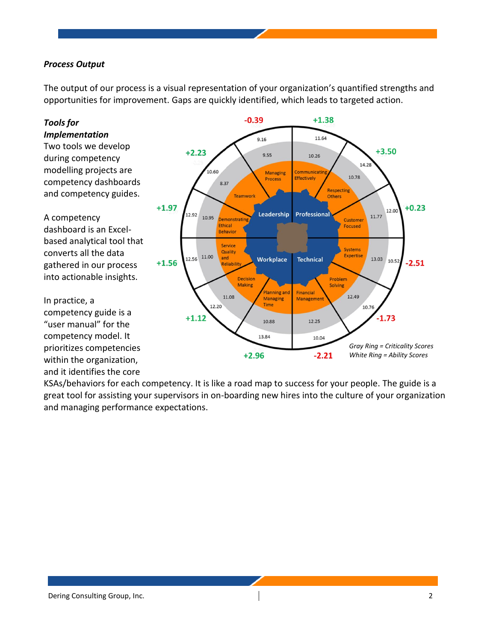## *Process Output*

The output of our process is a visual representation of your organization's quantified strengths and opportunities for improvement. Gaps are quickly identified, which leads to targeted action.



KSAs/behaviors for each competency. It is like a road map to success for your people. The guide is a great tool for assisting your supervisors in on-boarding new hires into the culture of your organization and managing performance expectations.